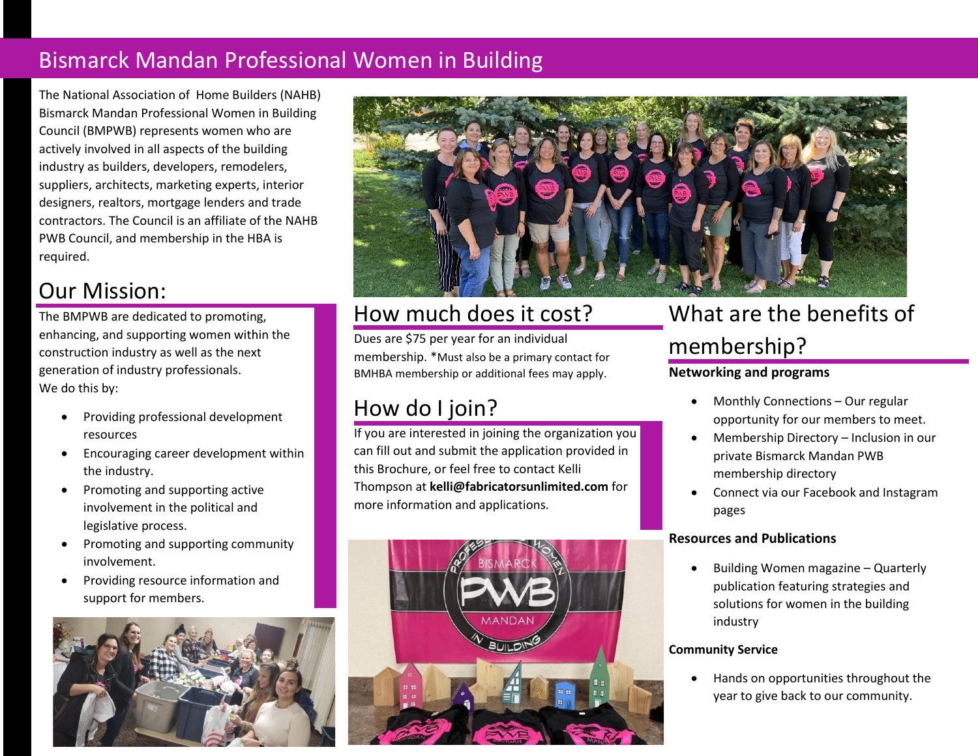## Bismarck Mandan Professional Women in Building

The National Association of Home Builders (NAHB) Bismarck Mandan Professional Women in Building Council (BMPWB) represents women who are actively involved in all aspects of the building industry as builders, developers, remodelers, suppliers, architects, marketing experts, interior designers, realtors, mortgage lenders and trade contractors. The Council is an affiliate of the NAHB PWB Council, and membership in the HBA is required.

## Our Mission:

The BMPWB are dedicated to promoting, enhancing, and supporting women within the construction industry as well as the next generation of industry professionals. We do this by:

- Providing professional development resources
- Encouraging career development within the industry.
- Promoting and supporting active involvement in the political and legislative process.
- Promoting and supporting community involvement.
- Providing resource information and support for members.





### How much does it cost?

Dues are \$75 per year for an individual membership. \*Must also be a primary contact for BMHBA membership or additional fees may apply.

## How do I join?

If you are interested in joining the organization you can fill out and submit the application provided in this Brochure, or feel free to contact Kelli Thompson at **kelli@fabricatorsunlimited.com** for more information and applications.



# What are the benefits of membership?

#### **Networking and programs**

- Monthly Connections Our regular opportunity for our members to meet.
- Membership Directory Inclusion in our private Bismarck Mandan PWB membership directory
- Connect via our Facebook and Instagram pages

#### **Resources and Publications**

• Building Women magazine – Quarterly publication featuring strategies and solutions for women in the building industry

#### **Community Service**

• Hands on opportunities throughout the year to give back to our community.